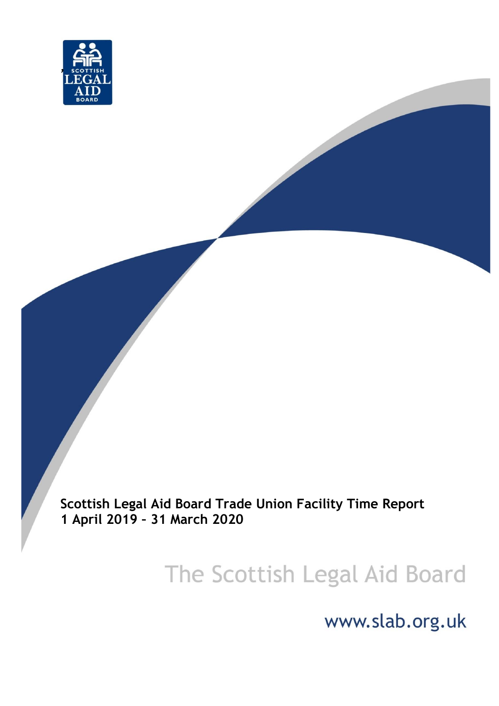

**Scottish Legal Aid Board Trade Union Facility Time Report 1 April 2019 – 31 March 2020**

# The Scottish Legal Aid Board

www.slab.org.uk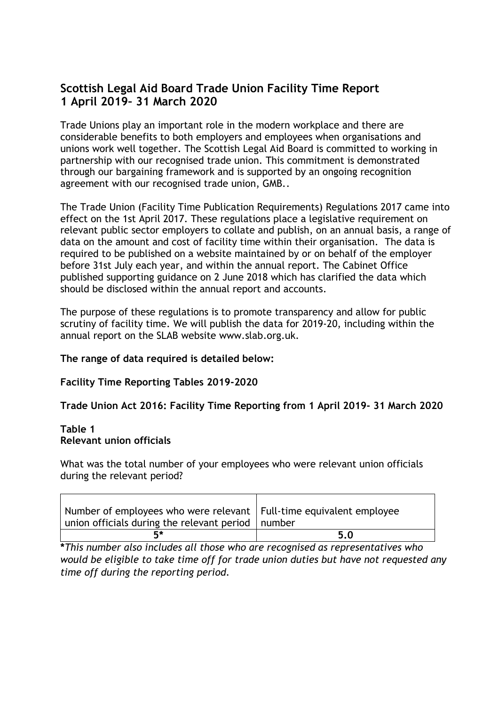# **Scottish Legal Aid Board Trade Union Facility Time Report 1 April 2019– 31 March 2020**

Trade Unions play an important role in the modern workplace and there are considerable benefits to both employers and employees when organisations and unions work well together. The Scottish Legal Aid Board is committed to working in partnership with our recognised trade union. This commitment is demonstrated through our bargaining framework and is supported by an ongoing recognition agreement with our recognised trade union, GMB..

The Trade Union (Facility Time Publication Requirements) Regulations 2017 came into effect on the 1st April 2017. These regulations place a legislative requirement on relevant public sector employers to collate and publish, on an annual basis, a range of data on the amount and cost of facility time within their organisation. The data is required to be published on a website maintained by or on behalf of the employer before 31st July each year, and within the annual report. The Cabinet Office published supporting guidance on 2 June 2018 which has clarified the data which should be disclosed within the annual report and accounts.

The purpose of these regulations is to promote transparency and allow for public scrutiny of facility time. We will publish the data for 2019-20, including within the annual report on the SLAB website www.slab.org.uk.

#### **The range of data required is detailed below:**

#### **Facility Time Reporting Tables 2019-2020**

**Trade Union Act 2016: Facility Time Reporting from 1 April 2019- 31 March 2020**

#### **Table 1 Relevant union officials**

 $\blacksquare$ 

What was the total number of your employees who were relevant union officials during the relevant period?

| Number of employees who were relevant   Full-time equivalent employee<br>union officials during the relevant period   number |     |
|------------------------------------------------------------------------------------------------------------------------------|-----|
|                                                                                                                              | 5.0 |

⊤

 $\overline{\phantom{a}}$ 

**\****This number also includes all those who are recognised as representatives who would be eligible to take time off for trade union duties but have not requested any time off during the reporting period.*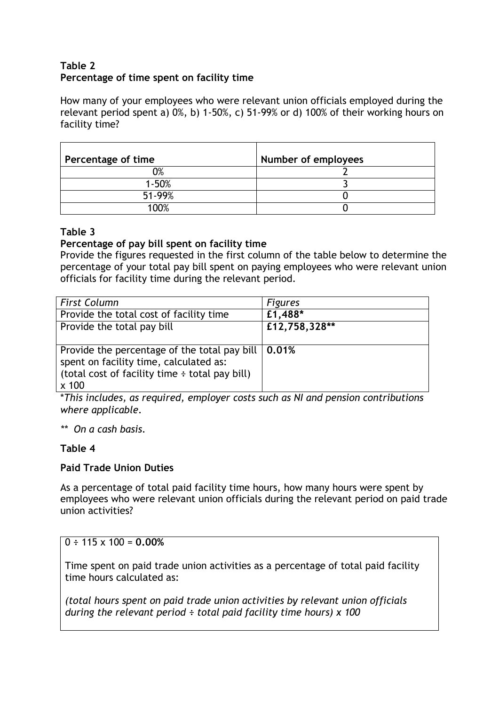## **Table 2 Percentage of time spent on facility time**

How many of your employees who were relevant union officials employed during the relevant period spent a) 0%, b) 1-50%, c) 51-99% or d) 100% of their working hours on facility time?

| Percentage of time | Number of employees |
|--------------------|---------------------|
| 2%                 |                     |
| $1 - 50%$          |                     |
| 51-99%             |                     |
| 100%               |                     |

#### **Table 3**

### **Percentage of pay bill spent on facility time**

Provide the figures requested in the first column of the table below to determine the percentage of your total pay bill spent on paying employees who were relevant union officials for facility time during the relevant period.

| <b>First Column</b>                                        | <b>Figures</b> |
|------------------------------------------------------------|----------------|
| Provide the total cost of facility time                    | £1,488*        |
| Provide the total pay bill                                 | £12,758,328**  |
|                                                            |                |
| Provide the percentage of the total pay bill $\vert$ 0.01% |                |
| spent on facility time, calculated as:                     |                |
| (total cost of facility time $\div$ total pay bill)        |                |
| $x$ 100                                                    |                |

\**This includes, as required, employer costs such as NI and pension contributions where applicable.*

*\*\* On a cash basis.*

# **Table 4**

#### **Paid Trade Union Duties**

As a percentage of total paid facility time hours, how many hours were spent by employees who were relevant union officials during the relevant period on paid trade union activities?

# $0 \div 115 \times 100 = 0.00\%$

Time spent on paid trade union activities as a percentage of total paid facility time hours calculated as:

*(total hours spent on paid trade union activities by relevant union officials during the relevant period ÷ total paid facility time hours) x 100*